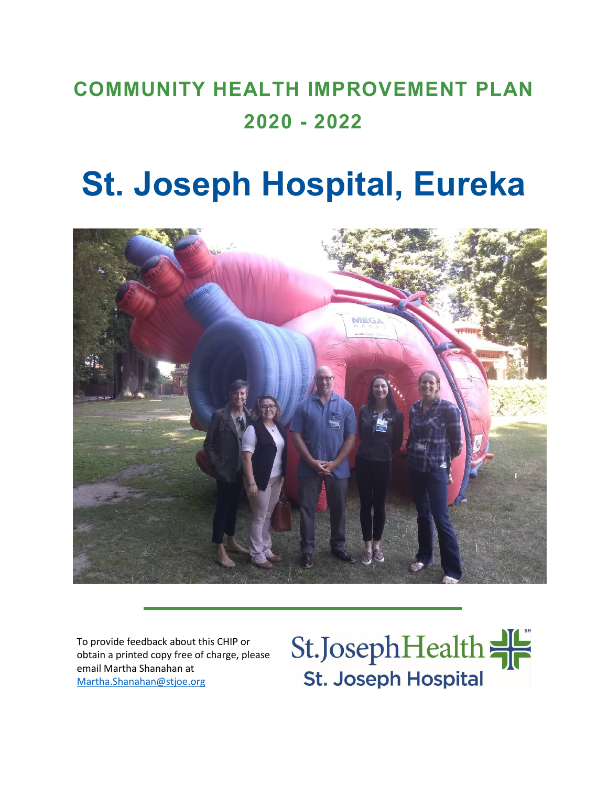# **COMMUNITY HEALTH IMPROVEMENT PLAN 2020 - 2022**

# **St. Joseph Hospital, Eureka**



To provide feedback about this CHIP or obtain a printed copy free of charge, please email Martha Shanahan at [Martha.Shanahan@stjoe.org](mailto:Martha.Shanahan@stjoe.org)

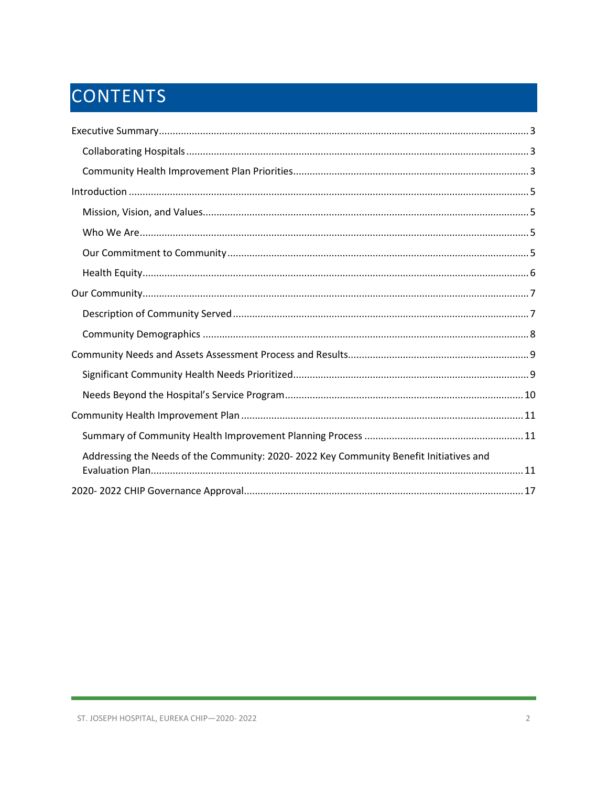# CONTENTS

| Addressing the Needs of the Community: 2020-2022 Key Community Benefit Initiatives and |
|----------------------------------------------------------------------------------------|
|                                                                                        |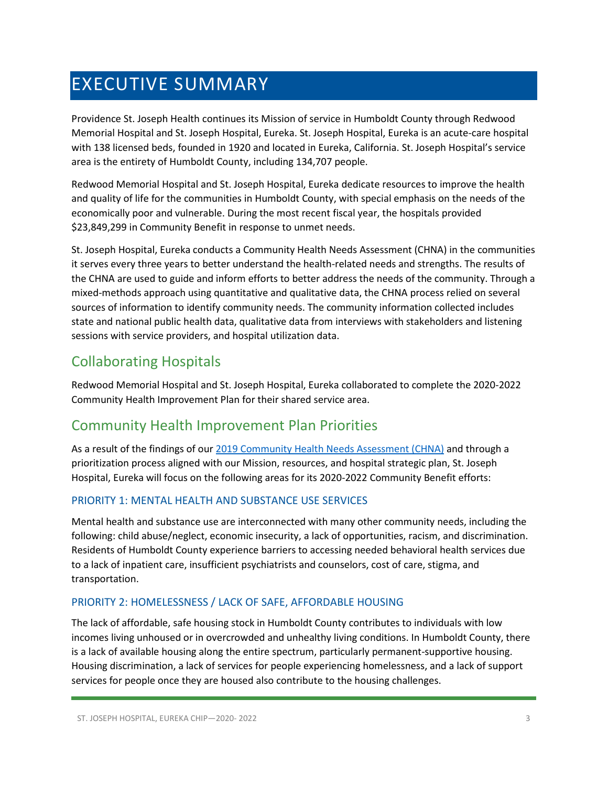# <span id="page-2-0"></span>EXECUTIVE SUMMARY

Providence St. Joseph Health continues its Mission of service in Humboldt County through Redwood Memorial Hospital and St. Joseph Hospital, Eureka. St. Joseph Hospital, Eureka is an acute-care hospital with 138 licensed beds, founded in 1920 and located in Eureka, California. St. Joseph Hospital's service area is the entirety of Humboldt County, including 134,707 people.

Redwood Memorial Hospital and St. Joseph Hospital, Eureka dedicate resources to improve the health and quality of life for the communities in Humboldt County, with special emphasis on the needs of the economically poor and vulnerable. During the most recent fiscal year, the hospitals provided \$23,849,299 in Community Benefit in response to unmet needs.

St. Joseph Hospital, Eureka conducts a Community Health Needs Assessment (CHNA) in the communities it serves every three years to better understand the health-related needs and strengths. The results of the CHNA are used to guide and inform efforts to better address the needs of the community. Through a mixed-methods approach using quantitative and qualitative data, the CHNA process relied on several sources of information to identify community needs. The community information collected includes state and national public health data, qualitative data from interviews with stakeholders and listening sessions with service providers, and hospital utilization data.

### <span id="page-2-1"></span>Collaborating Hospitals

Redwood Memorial Hospital and St. Joseph Hospital, Eureka collaborated to complete the 2020-2022 Community Health Improvement Plan for their shared service area.

### <span id="page-2-2"></span>Community Health Improvement Plan Priorities

As a result of the findings of our [2019 Community Health Needs Assessment \(CHNA\)](https://www.providence.org/-/media/Project/psjh/providence/socal/Files/about/community-benefit/reports/2019chna-humboldtcounty.pdf?la=en&hash=50EF699E23AD7CF4CC0E6E082FF5B11C) and through a prioritization process aligned with our Mission, resources, and hospital strategic plan, St. Joseph Hospital, Eureka will focus on the following areas for its 2020-2022 Community Benefit efforts:

### PRIORITY 1: MENTAL HEALTH AND SUBSTANCE USE SERVICES

Mental health and substance use are interconnected with many other community needs, including the following: child abuse/neglect, economic insecurity, a lack of opportunities, racism, and discrimination. Residents of Humboldt County experience barriers to accessing needed behavioral health services due to a lack of inpatient care, insufficient psychiatrists and counselors, cost of care, stigma, and transportation.

### PRIORITY 2: HOMELESSNESS / LACK OF SAFE, AFFORDABLE HOUSING

The lack of affordable, safe housing stock in Humboldt County contributes to individuals with low incomes living unhoused or in overcrowded and unhealthy living conditions. In Humboldt County, there is a lack of available housing along the entire spectrum, particularly permanent-supportive housing. Housing discrimination, a lack of services for people experiencing homelessness, and a lack of support services for people once they are housed also contribute to the housing challenges.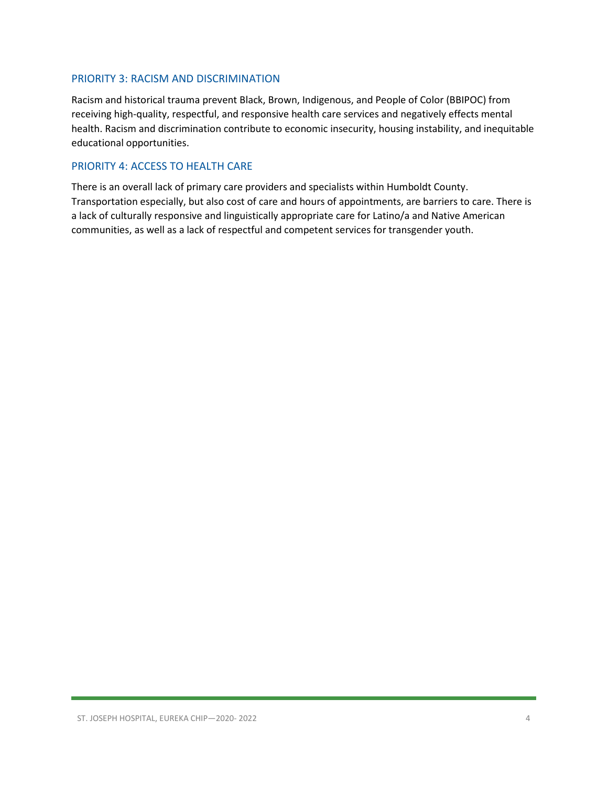### PRIORITY 3: RACISM AND DISCRIMINATION

Racism and historical trauma prevent Black, Brown, Indigenous, and People of Color (BBIPOC) from receiving high-quality, respectful, and responsive health care services and negatively effects mental health. Racism and discrimination contribute to economic insecurity, housing instability, and inequitable educational opportunities.

### PRIORITY 4: ACCESS TO HEALTH CARE

There is an overall lack of primary care providers and specialists within Humboldt County. Transportation especially, but also cost of care and hours of appointments, are barriers to care. There is a lack of culturally responsive and linguistically appropriate care for Latino/a and Native American communities, as well as a lack of respectful and competent services for transgender youth.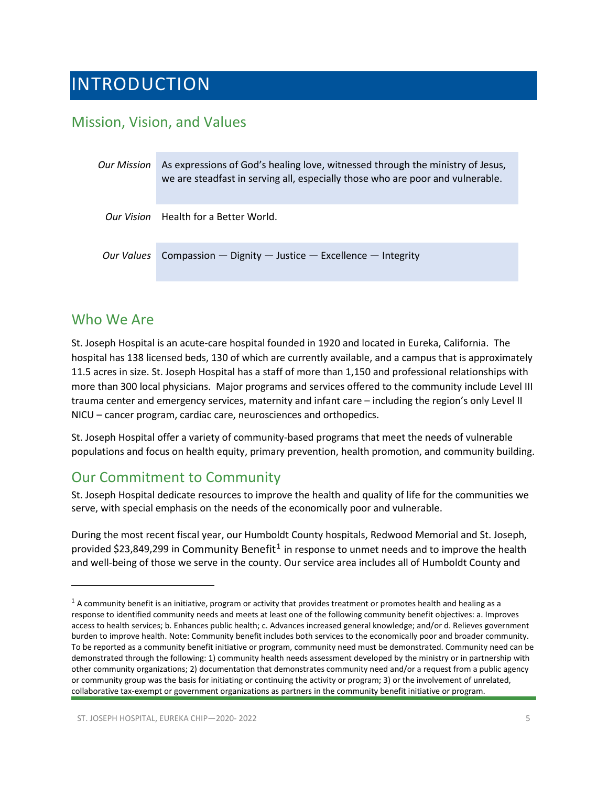## <span id="page-4-0"></span>INTRODUCTION

### <span id="page-4-1"></span>Mission, Vision, and Values

| <b>Our Mission</b> | As expressions of God's healing love, witnessed through the ministry of Jesus,<br>we are steadfast in serving all, especially those who are poor and vulnerable. |  |
|--------------------|------------------------------------------------------------------------------------------------------------------------------------------------------------------|--|
|                    | Our Vision Health for a Better World.                                                                                                                            |  |
| Our Values         | Compassion - Dignity - Justice - Excellence - Integrity                                                                                                          |  |

### <span id="page-4-2"></span>Who We Are

St. Joseph Hospital is an acute-care hospital founded in 1920 and located in Eureka, California. The hospital has 138 licensed beds, 130 of which are currently available, and a campus that is approximately 11.5 acres in size. St. Joseph Hospital has a staff of more than 1,150 and professional relationships with more than 300 local physicians. Major programs and services offered to the community include Level III trauma center and emergency services, maternity and infant care – including the region's only Level II NICU – cancer program, cardiac care, neurosciences and orthopedics.

St. Joseph Hospital offer a variety of community-based programs that meet the needs of vulnerable populations and focus on health equity, primary prevention, health promotion, and community building.

### <span id="page-4-3"></span>Our Commitment to Community

St. Joseph Hospital dedicate resources to improve the health and quality of life for the communities we serve, with special emphasis on the needs of the economically poor and vulnerable.

During the most recent fiscal year, our Humboldt County hospitals, Redwood Memorial and St. Joseph, provided \$23,849,299 in Community Benefit<sup>[1](#page-4-4)</sup> in response to unmet needs and to improve the health and well-being of those we serve in the county. Our service area includes all of Humboldt County and

<span id="page-4-4"></span> $1$  A community benefit is an initiative, program or activity that provides treatment or promotes health and healing as a response to identified community needs and meets at least one of the following community benefit objectives: a. Improves access to health services; b. Enhances public health; c. Advances increased general knowledge; and/or d. Relieves government burden to improve health. Note: Community benefit includes both services to the economically poor and broader community. To be reported as a community benefit initiative or program, community need must be demonstrated. Community need can be demonstrated through the following: 1) community health needs assessment developed by the ministry or in partnership with other community organizations; 2) documentation that demonstrates community need and/or a request from a public agency or community group was the basis for initiating or continuing the activity or program; 3) or the involvement of unrelated, collaborative tax-exempt or government organizations as partners in the community benefit initiative or program.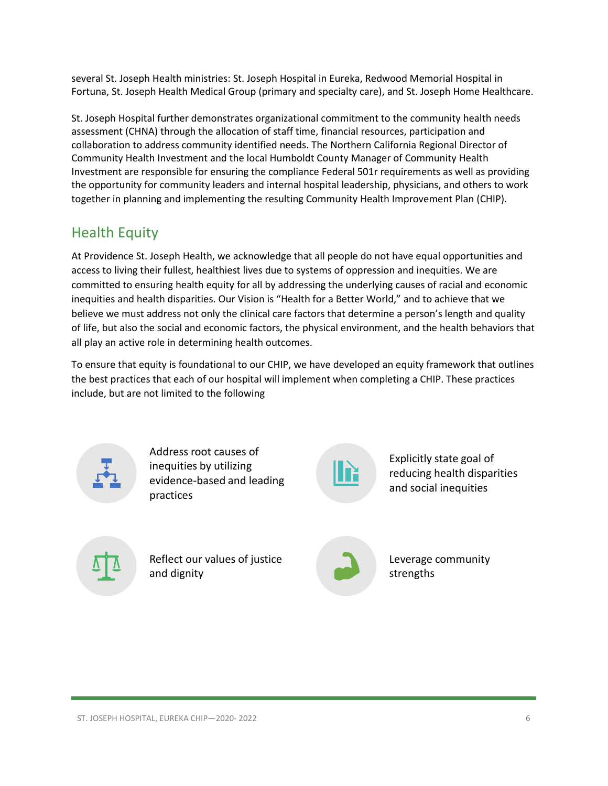several St. Joseph Health ministries: St. Joseph Hospital in Eureka, Redwood Memorial Hospital in Fortuna, St. Joseph Health Medical Group (primary and specialty care), and St. Joseph Home Healthcare.

St. Joseph Hospital further demonstrates organizational commitment to the community health needs assessment (CHNA) through the allocation of staff time, financial resources, participation and collaboration to address community identified needs. The Northern California Regional Director of Community Health Investment and the local Humboldt County Manager of Community Health Investment are responsible for ensuring the compliance Federal 501r requirements as well as providing the opportunity for community leaders and internal hospital leadership, physicians, and others to work together in planning and implementing the resulting Community Health Improvement Plan (CHIP).

### <span id="page-5-0"></span>Health Equity

At Providence St. Joseph Health, we acknowledge that all people do not have equal opportunities and access to living their fullest, healthiest lives due to systems of oppression and inequities. We are committed to ensuring health equity for all by addressing the underlying causes of racial and economic inequities and health disparities. Our Vision is "Health for a Better World," and to achieve that we believe we must address not only the clinical care factors that determine a person's length and quality of life, but also the social and economic factors, the physical environment, and the health behaviors that all play an active role in determining health outcomes.

To ensure that equity is foundational to our CHIP, we have developed an equity framework that outlines the best practices that each of our hospital will implement when completing a CHIP. These practices include, but are not limited to the following



Address root causes of inequities by utilizing evidence-based and leading practices



Explicitly state goal of reducing health disparities and social inequities



Reflect our values of justice and dignity



Leverage community strengths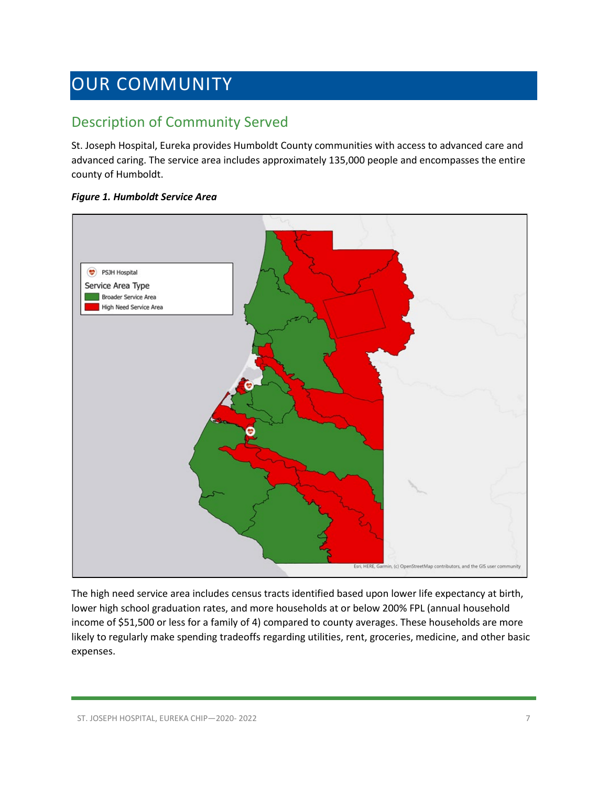# <span id="page-6-0"></span>OUR COMMUNITY

### <span id="page-6-1"></span>Description of Community Served

St. Joseph Hospital, Eureka provides Humboldt County communities with access to advanced care and advanced caring. The service area includes approximately 135,000 people and encompasses the entire county of Humboldt.

### *Figure 1. Humboldt Service Area*



The high need service area includes census tracts identified based upon lower life expectancy at birth, lower high school graduation rates, and more households at or below 200% FPL (annual household income of \$51,500 or less for a family of 4) compared to county averages. These households are more likely to regularly make spending tradeoffs regarding utilities, rent, groceries, medicine, and other basic expenses.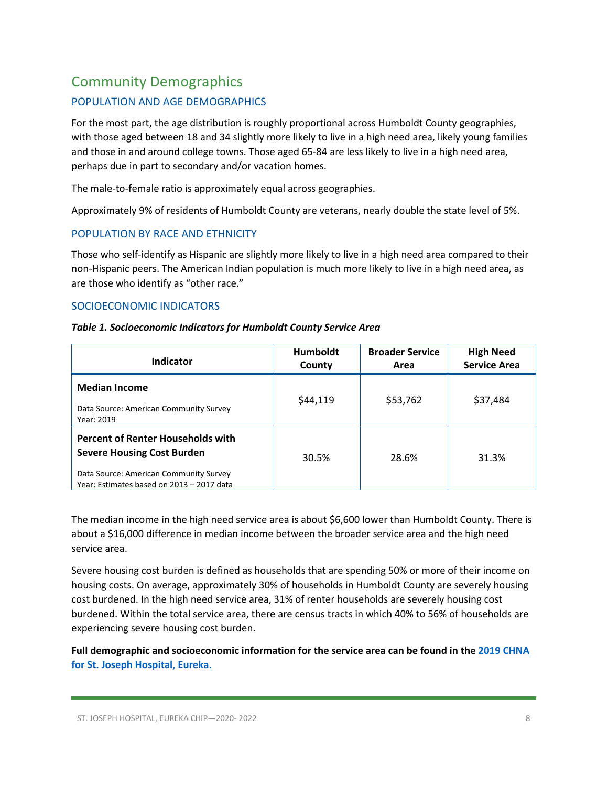### <span id="page-7-0"></span>Community Demographics

### POPULATION AND AGE DEMOGRAPHICS

For the most part, the age distribution is roughly proportional across Humboldt County geographies, with those aged between 18 and 34 slightly more likely to live in a high need area, likely young families and those in and around college towns. Those aged 65-84 are less likely to live in a high need area, perhaps due in part to secondary and/or vacation homes.

The male-to-female ratio is approximately equal across geographies.

Approximately 9% of residents of Humboldt County are veterans, nearly double the state level of 5%.

### POPULATION BY RACE AND ETHNICITY

Those who self-identify as Hispanic are slightly more likely to live in a high need area compared to their non-Hispanic peers. The American Indian population is much more likely to live in a high need area, as are those who identify as "other race."

### SOCIOECONOMIC INDICATORS

### *Table 1. Socioeconomic Indicators for Humboldt County Service Area*

| Indicator                                                                                                                                                            | <b>Humboldt</b><br>County | <b>Broader Service</b><br>Area | <b>High Need</b><br><b>Service Area</b> |
|----------------------------------------------------------------------------------------------------------------------------------------------------------------------|---------------------------|--------------------------------|-----------------------------------------|
| <b>Median Income</b><br>Data Source: American Community Survey<br>Year: 2019                                                                                         | \$44,119                  | \$53,762                       | \$37,484                                |
| <b>Percent of Renter Households with</b><br><b>Severe Housing Cost Burden</b><br>Data Source: American Community Survey<br>Year: Estimates based on 2013 - 2017 data | 30.5%                     | 28.6%                          | 31.3%                                   |

The median income in the high need service area is about \$6,600 lower than Humboldt County. There is about a \$16,000 difference in median income between the broader service area and the high need service area.

Severe housing cost burden is defined as households that are spending 50% or more of their income on housing costs. On average, approximately 30% of households in Humboldt County are severely housing cost burdened. In the high need service area, 31% of renter households are severely housing cost burdened. Within the total service area, there are census tracts in which 40% to 56% of households are experiencing severe housing cost burden.

**Full demographic and socioeconomic information for the service area can be found in th[e 2019 CHNA](https://www.providence.org/-/media/Project/psjh/providence/socal/Files/about/community-benefit/reports/2019chna-humboldtcounty.pdf?la=en&hash=50EF699E23AD7CF4CC0E6E082FF5B11C)  for St. Joseph [Hospital, Eureka.](https://www.providence.org/-/media/Project/psjh/providence/socal/Files/about/community-benefit/reports/2019chna-humboldtcounty.pdf?la=en&hash=50EF699E23AD7CF4CC0E6E082FF5B11C)**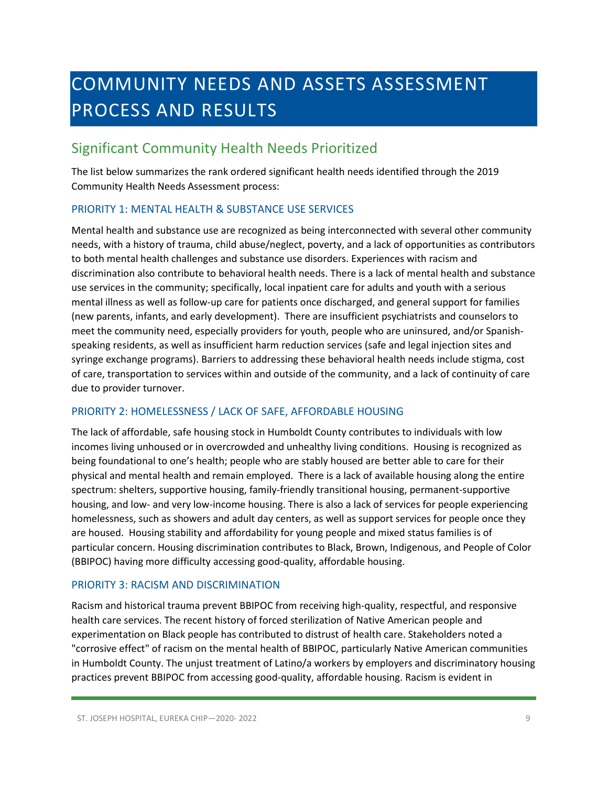# <span id="page-8-0"></span>COMMUNITY NEEDS AND ASSETS ASSESSMENT PROCESS AND RESULTS

### <span id="page-8-1"></span>Significant Community Health Needs Prioritized

The list below summarizes the rank ordered significant health needs identified through the 2019 Community Health Needs Assessment process:

### PRIORITY 1: MENTAL HEALTH & SUBSTANCE USE SERVICES

Mental health and substance use are recognized as being interconnected with several other community needs, with a history of trauma, child abuse/neglect, poverty, and a lack of opportunities as contributors to both mental health challenges and substance use disorders. Experiences with racism and discrimination also contribute to behavioral health needs. There is a lack of mental health and substance use services in the community; specifically, local inpatient care for adults and youth with a serious mental illness as well as follow-up care for patients once discharged, and general support for families (new parents, infants, and early development). There are insufficient psychiatrists and counselors to meet the community need, especially providers for youth, people who are uninsured, and/or Spanishspeaking residents, as well as insufficient harm reduction services (safe and legal injection sites and syringe exchange programs). Barriers to addressing these behavioral health needs include stigma, cost of care, transportation to services within and outside of the community, and a lack of continuity of care due to provider turnover.

### PRIORITY 2: HOMELESSNESS / LACK OF SAFE, AFFORDABLE HOUSING

The lack of affordable, safe housing stock in Humboldt County contributes to individuals with low incomes living unhoused or in overcrowded and unhealthy living conditions. Housing is recognized as being foundational to one's health; people who are stably housed are better able to care for their physical and mental health and remain employed. There is a lack of available housing along the entire spectrum: shelters, supportive housing, family-friendly transitional housing, permanent-supportive housing, and low- and very low-income housing. There is also a lack of services for people experiencing homelessness, such as showers and adult day centers, as well as support services for people once they are housed. Housing stability and affordability for young people and mixed status families is of particular concern. Housing discrimination contributes to Black, Brown, Indigenous, and People of Color (BBIPOC) having more difficulty accessing good-quality, affordable housing.

### PRIORITY 3: RACISM AND DISCRIMINATION

Racism and historical trauma prevent BBIPOC from receiving high-quality, respectful, and responsive health care services. The recent history of forced sterilization of Native American people and experimentation on Black people has contributed to distrust of health care. Stakeholders noted a "corrosive effect" of racism on the mental health of BBIPOC, particularly Native American communities in Humboldt County. The unjust treatment of Latino/a workers by employers and discriminatory housing practices prevent BBIPOC from accessing good-quality, affordable housing. Racism is evident in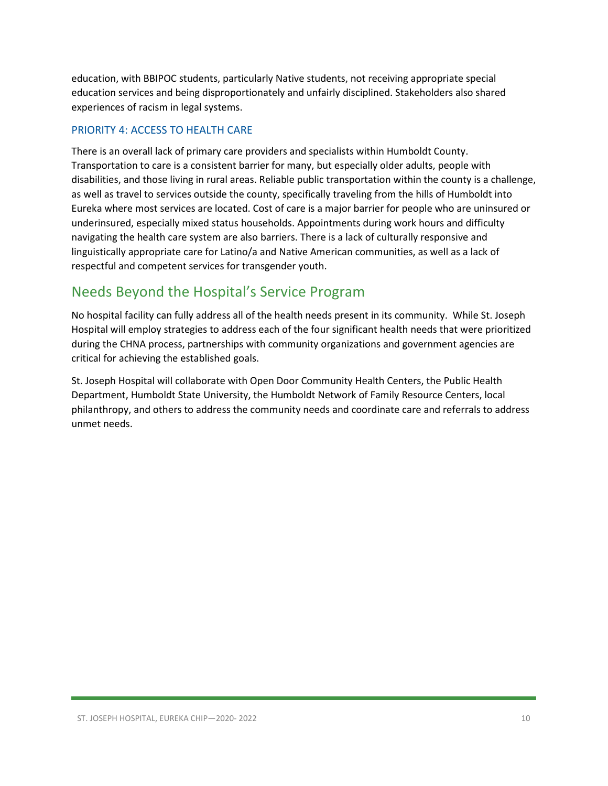education, with BBIPOC students, particularly Native students, not receiving appropriate special education services and being disproportionately and unfairly disciplined. Stakeholders also shared experiences of racism in legal systems.

### PRIORITY 4: ACCESS TO HEALTH CARE

There is an overall lack of primary care providers and specialists within Humboldt County. Transportation to care is a consistent barrier for many, but especially older adults, people with disabilities, and those living in rural areas. Reliable public transportation within the county is a challenge, as well as travel to services outside the county, specifically traveling from the hills of Humboldt into Eureka where most services are located. Cost of care is a major barrier for people who are uninsured or underinsured, especially mixed status households. Appointments during work hours and difficulty navigating the health care system are also barriers. There is a lack of culturally responsive and linguistically appropriate care for Latino/a and Native American communities, as well as a lack of respectful and competent services for transgender youth.

### <span id="page-9-0"></span>Needs Beyond the Hospital's Service Program

No hospital facility can fully address all of the health needs present in its community. While St. Joseph Hospital will employ strategies to address each of the four significant health needs that were prioritized during the CHNA process, partnerships with community organizations and government agencies are critical for achieving the established goals.

St. Joseph Hospital will collaborate with Open Door Community Health Centers, the Public Health Department, Humboldt State University, the Humboldt Network of Family Resource Centers, local philanthropy, and others to address the community needs and coordinate care and referrals to address unmet needs.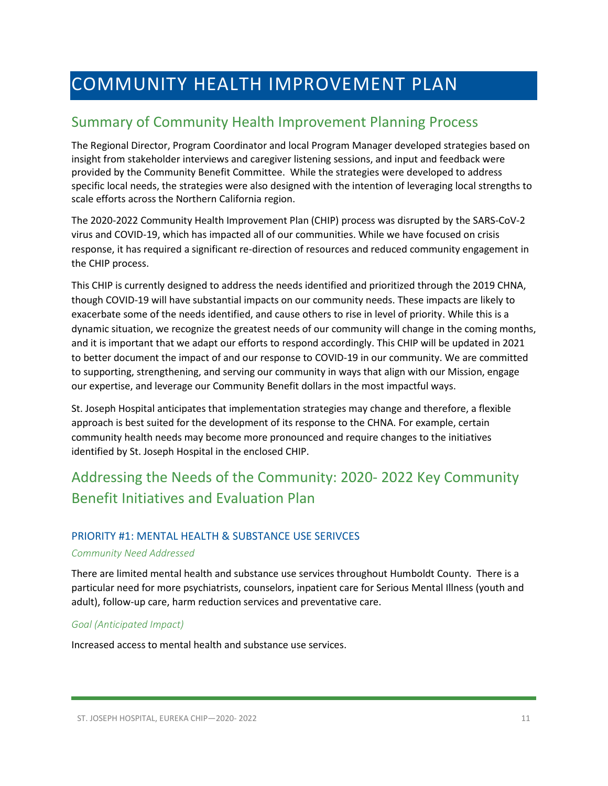# <span id="page-10-0"></span>COMMUNITY HEALTH IMPROVEMENT PLAN

### <span id="page-10-1"></span>Summary of Community Health Improvement Planning Process

The Regional Director, Program Coordinator and local Program Manager developed strategies based on insight from stakeholder interviews and caregiver listening sessions, and input and feedback were provided by the Community Benefit Committee. While the strategies were developed to address specific local needs, the strategies were also designed with the intention of leveraging local strengths to scale efforts across the Northern California region.

The 2020-2022 Community Health Improvement Plan (CHIP) process was disrupted by the SARS-CoV-2 virus and COVID-19, which has impacted all of our communities. While we have focused on crisis response, it has required a significant re-direction of resources and reduced community engagement in the CHIP process.

This CHIP is currently designed to address the needs identified and prioritized through the 2019 CHNA, though COVID-19 will have substantial impacts on our community needs. These impacts are likely to exacerbate some of the needs identified, and cause others to rise in level of priority. While this is a dynamic situation, we recognize the greatest needs of our community will change in the coming months, and it is important that we adapt our efforts to respond accordingly. This CHIP will be updated in 2021 to better document the impact of and our response to COVID-19 in our community. We are committed to supporting, strengthening, and serving our community in ways that align with our Mission, engage our expertise, and leverage our Community Benefit dollars in the most impactful ways.

St. Joseph Hospital anticipates that implementation strategies may change and therefore, a flexible approach is best suited for the development of its response to the CHNA. For example, certain community health needs may become more pronounced and require changes to the initiatives identified by St. Joseph Hospital in the enclosed CHIP.

## <span id="page-10-2"></span>Addressing the Needs of the Community: 2020- 2022 Key Community Benefit Initiatives and Evaluation Plan

### PRIORITY #1: MENTAL HEALTH & SUBSTANCE USE SERIVCES

#### *Community Need Addressed*

There are limited mental health and substance use services throughout Humboldt County. There is a particular need for more psychiatrists, counselors, inpatient care for Serious Mental Illness (youth and adult), follow-up care, harm reduction services and preventative care.

### *Goal (Anticipated Impact)*

Increased access to mental health and substance use services.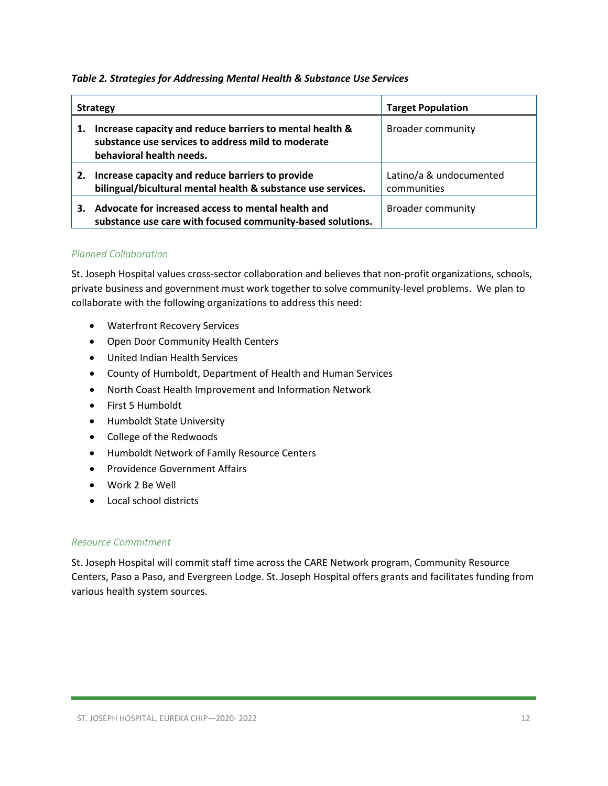### *Table 2. Strategies for Addressing Mental Health & Substance Use Services*

| <b>Strategy</b> |                                                                                                                                            | <b>Target Population</b>               |
|-----------------|--------------------------------------------------------------------------------------------------------------------------------------------|----------------------------------------|
| 1.              | Increase capacity and reduce barriers to mental health &<br>substance use services to address mild to moderate<br>behavioral health needs. | <b>Broader community</b>               |
| 2.              | Increase capacity and reduce barriers to provide<br>bilingual/bicultural mental health & substance use services.                           | Latino/a & undocumented<br>communities |
| З.              | Advocate for increased access to mental health and<br>substance use care with focused community-based solutions.                           | <b>Broader community</b>               |

### *Planned Collaboration*

St. Joseph Hospital values cross-sector collaboration and believes that non-profit organizations, schools, private business and government must work together to solve community-level problems. We plan to collaborate with the following organizations to address this need:

- Waterfront Recovery Services
- Open Door Community Health Centers
- United Indian Health Services
- County of Humboldt, Department of Health and Human Services
- North Coast Health Improvement and Information Network
- First 5 Humboldt
- Humboldt State University
- College of the Redwoods
- Humboldt Network of Family Resource Centers
- Providence Government Affairs
- Work 2 Be Well
- Local school districts

### *Resource Commitment*

St. Joseph Hospital will commit staff time across the CARE Network program, Community Resource Centers, Paso a Paso, and Evergreen Lodge. St. Joseph Hospital offers grants and facilitates funding from various health system sources.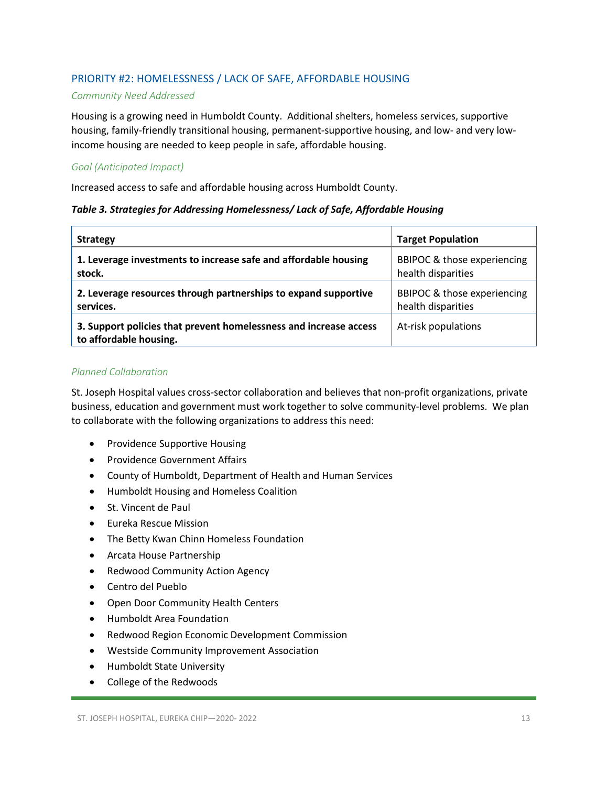### PRIORITY #2: HOMELESSNESS / LACK OF SAFE, AFFORDABLE HOUSING

#### *Community Need Addressed*

Housing is a growing need in Humboldt County. Additional shelters, homeless services, supportive housing, family-friendly transitional housing, permanent-supportive housing, and low- and very lowincome housing are needed to keep people in safe, affordable housing.

### *Goal (Anticipated Impact)*

Increased access to safe and affordable housing across Humboldt County.

### *Table 3. Strategies for Addressing Homelessness/ Lack of Safe, Affordable Housing*

| <b>Strategy</b>                                                                             | <b>Target Population</b>    |
|---------------------------------------------------------------------------------------------|-----------------------------|
| 1. Leverage investments to increase safe and affordable housing                             | BBIPOC & those experiencing |
| stock.                                                                                      | health disparities          |
| 2. Leverage resources through partnerships to expand supportive                             | BBIPOC & those experiencing |
| services.                                                                                   | health disparities          |
| 3. Support policies that prevent homelessness and increase access<br>to affordable housing. | At-risk populations         |

### *Planned Collaboration*

St. Joseph Hospital values cross-sector collaboration and believes that non-profit organizations, private business, education and government must work together to solve community-level problems. We plan to collaborate with the following organizations to address this need:

- Providence Supportive Housing
- Providence Government Affairs
- County of Humboldt, Department of Health and Human Services
- Humboldt Housing and Homeless Coalition
- St. Vincent de Paul
- Eureka Rescue Mission
- The Betty Kwan Chinn Homeless Foundation
- Arcata House Partnership
- Redwood Community Action Agency
- Centro del Pueblo
- Open Door Community Health Centers
- Humboldt Area Foundation
- Redwood Region Economic Development Commission
- Westside Community Improvement Association
- Humboldt State University
- College of the Redwoods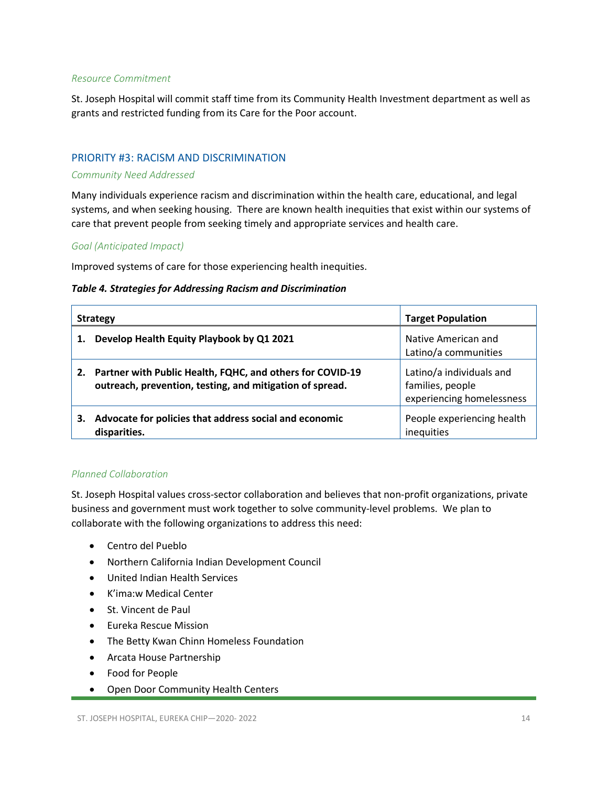#### *Resource Commitment*

St. Joseph Hospital will commit staff time from its Community Health Investment department as well as grants and restricted funding from its Care for the Poor account.

### PRIORITY #3: RACISM AND DISCRIMINATION

#### *Community Need Addressed*

Many individuals experience racism and discrimination within the health care, educational, and legal systems, and when seeking housing. There are known health inequities that exist within our systems of care that prevent people from seeking timely and appropriate services and health care.

### *Goal (Anticipated Impact)*

Improved systems of care for those experiencing health inequities.

#### *Table 4. Strategies for Addressing Racism and Discrimination*

| <b>Strategy</b> |                                                                                                                       | <b>Target Population</b>                                                  |
|-----------------|-----------------------------------------------------------------------------------------------------------------------|---------------------------------------------------------------------------|
|                 | Develop Health Equity Playbook by Q1 2021                                                                             | Native American and<br>Latino/a communities                               |
| 2.              | Partner with Public Health, FQHC, and others for COVID-19<br>outreach, prevention, testing, and mitigation of spread. | Latino/a individuals and<br>families, people<br>experiencing homelessness |
| 3.              | Advocate for policies that address social and economic<br>disparities.                                                | People experiencing health<br>inequities                                  |

#### *Planned Collaboration*

St. Joseph Hospital values cross-sector collaboration and believes that non-profit organizations, private business and government must work together to solve community-level problems. We plan to collaborate with the following organizations to address this need:

- Centro del Pueblo
- Northern California Indian Development Council
- United Indian Health Services
- K'ima:w Medical Center
- St. Vincent de Paul
- Eureka Rescue Mission
- The Betty Kwan Chinn Homeless Foundation
- Arcata House Partnership
- Food for People
- Open Door Community Health Centers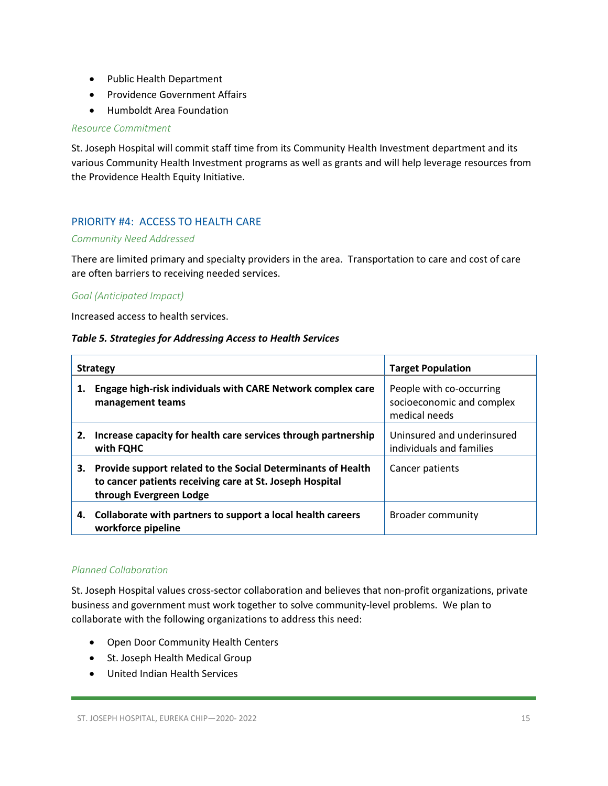- Public Health Department
- Providence Government Affairs
- Humboldt Area Foundation

#### *Resource Commitment*

St. Joseph Hospital will commit staff time from its Community Health Investment department and its various Community Health Investment programs as well as grants and will help leverage resources from the Providence Health Equity Initiative.

### PRIORITY #4: ACCESS TO HEALTH CARE

#### *Community Need Addressed*

There are limited primary and specialty providers in the area. Transportation to care and cost of care are often barriers to receiving needed services.

### *Goal (Anticipated Impact)*

Increased access to health services.

#### *Table 5. Strategies for Addressing Access to Health Services*

| <b>Strategy</b> |                                                                                                                                                     | <b>Target Population</b>                                               |
|-----------------|-----------------------------------------------------------------------------------------------------------------------------------------------------|------------------------------------------------------------------------|
| 1.              | Engage high-risk individuals with CARE Network complex care<br>management teams                                                                     | People with co-occurring<br>socioeconomic and complex<br>medical needs |
| 2.              | Increase capacity for health care services through partnership<br>with FQHC                                                                         | Uninsured and underinsured<br>individuals and families                 |
| 3.              | Provide support related to the Social Determinants of Health<br>to cancer patients receiving care at St. Joseph Hospital<br>through Evergreen Lodge | Cancer patients                                                        |
| 4.              | Collaborate with partners to support a local health careers<br>workforce pipeline                                                                   | <b>Broader community</b>                                               |

### *Planned Collaboration*

St. Joseph Hospital values cross-sector collaboration and believes that non-profit organizations, private business and government must work together to solve community-level problems. We plan to collaborate with the following organizations to address this need:

- Open Door Community Health Centers
- St. Joseph Health Medical Group
- United Indian Health Services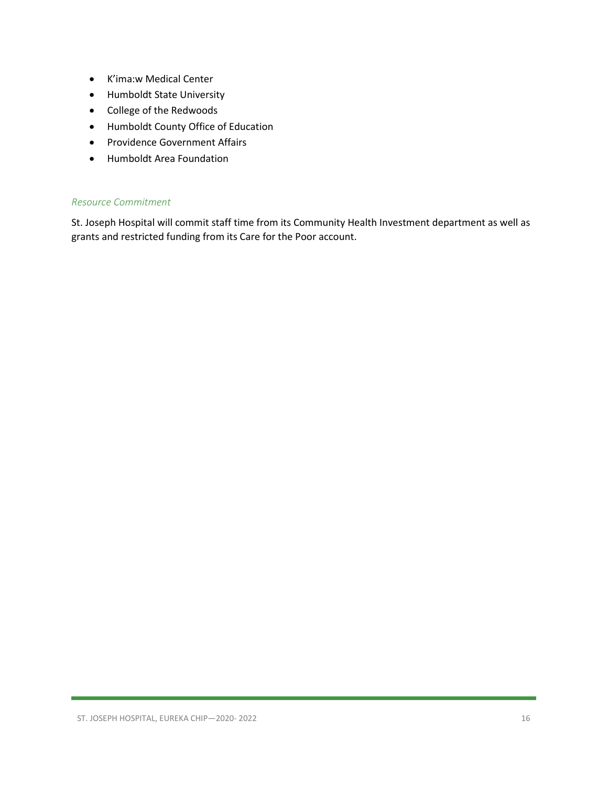- K'ima:w Medical Center
- Humboldt State University
- College of the Redwoods
- Humboldt County Office of Education
- Providence Government Affairs
- Humboldt Area Foundation

### *Resource Commitment*

St. Joseph Hospital will commit staff time from its Community Health Investment department as well as grants and restricted funding from its Care for the Poor account.